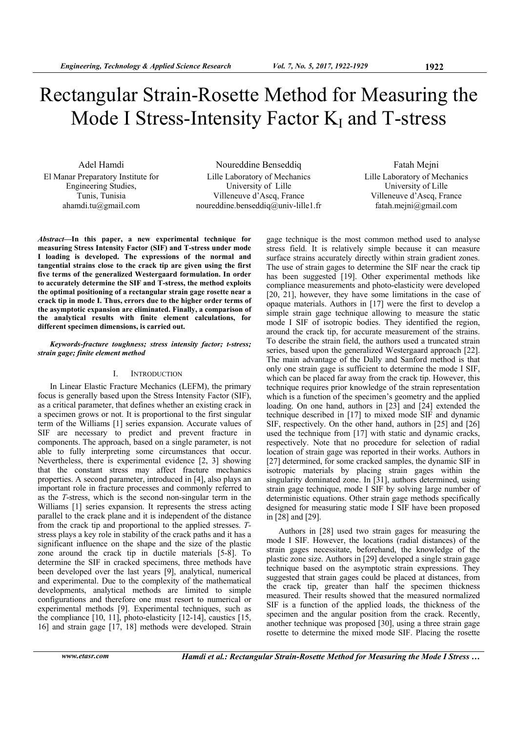# Rectangular Strain-Rosette Method for Measuring the Mode I Stress-Intensity Factor  $K_I$  and T-stress

Adel Hamdi El Manar Preparatory Institute for Engineering Studies, Tunis, Tunisia ahamdi.tu@gmail.com

Noureddine Benseddiq Lille Laboratory of Mechanics University of Lille Villeneuve d'Ascq, France noureddine.benseddiq@univ-lille1.fr

Fatah Mejni Lille Laboratory of Mechanics University of Lille Villeneuve d'Ascq, France fatah.mejni@gmail.com

*Abstract***—In this paper, a new experimental technique for measuring Stress Intensity Factor (SIF) and T-stress under mode I loading is developed. The expressions of the normal and tangential strains close to the crack tip are given using the first five terms of the generalized Westergaard formulation. In order to accurately determine the SIF and T-stress, the method exploits the optimal positioning of a rectangular strain gage rosette near a crack tip in mode I. Thus, errors due to the higher order terms of the asymptotic expansion are eliminated. Finally, a comparison of the analytical results with finite element calculations, for different specimen dimensions, is carried out.** 

## *Keywords-fracture toughness; stress intensity factor; t-stress; strain gage; finite element method*

## I. INTRODUCTION

In Linear Elastic Fracture Mechanics (LEFM), the primary focus is generally based upon the Stress Intensity Factor (SIF), as a critical parameter, that defines whether an existing crack in a specimen grows or not. It is proportional to the first singular term of the Williams [1] series expansion. Accurate values of SIF are necessary to predict and prevent fracture in components. The approach, based on a single parameter, is not able to fully interpreting some circumstances that occur. Nevertheless, there is experimental evidence [2, 3] showing that the constant stress may affect fracture mechanics properties. A second parameter, introduced in [4], also plays an important role in fracture processes and commonly referred to as the *T*-stress, which is the second non-singular term in the Williams [1] series expansion. It represents the stress acting parallel to the crack plane and it is independent of the distance from the crack tip and proportional to the applied stresses. *T*stress plays a key role in stability of the crack paths and it has a significant influence on the shape and the size of the plastic zone around the crack tip in ductile materials  $[5-\hat{8}]$ . To determine the SIF in cracked specimens, three methods have been developed over the last years [9], analytical, numerical and experimental. Due to the complexity of the mathematical developments, analytical methods are limited to simple configurations and therefore one must resort to numerical or experimental methods [9]. Experimental techniques, such as the compliance [10, 11], photo-elasticity [12-14], caustics [15, 16] and strain gage [17, 18] methods were developed. Strain gage technique is the most common method used to analyse stress field. It is relatively simple because it can measure surface strains accurately directly within strain gradient zones. The use of strain gages to determine the SIF near the crack tip has been suggested [19]. Other experimental methods like compliance measurements and photo-elasticity were developed [20, 21], however, they have some limitations in the case of opaque materials. Authors in [17] were the first to develop a simple strain gage technique allowing to measure the static mode I SIF of isotropic bodies. They identified the region, around the crack tip, for accurate measurement of the strains. To describe the strain field, the authors used a truncated strain series, based upon the generalized Westergaard approach [22]. The main advantage of the Dally and Sanford method is that only one strain gage is sufficient to determine the mode I SIF, which can be placed far away from the crack tip. However, this technique requires prior knowledge of the strain representation which is a function of the specimen's geometry and the applied loading. On one hand, authors in [23] and [24] extended the technique described in [17] to mixed mode SIF and dynamic SIF, respectively. On the other hand, authors in [25] and [26] used the technique from [17] with static and dynamic cracks, respectively. Note that no procedure for selection of radial location of strain gage was reported in their works. Authors in [27] determined, for some cracked samples, the dynamic SIF in isotropic materials by placing strain gages within the singularity dominated zone. In [31], authors determined, using strain gage technique, mode I SIF by solving large number of deterministic equations. Other strain gage methods specifically designed for measuring static mode I SIF have been proposed in [28] and [29].

Authors in [28] used two strain gages for measuring the mode I SIF. However, the locations (radial distances) of the strain gages necessitate, beforehand, the knowledge of the plastic zone size. Authors in [29] developed a single strain gage technique based on the asymptotic strain expressions. They suggested that strain gages could be placed at distances, from the crack tip, greater than half the specimen thickness measured. Their results showed that the measured normalized SIF is a function of the applied loads, the thickness of the specimen and the angular position from the crack. Recently, another technique was proposed [30], using a three strain gage rosette to determine the mixed mode SIF. Placing the rosette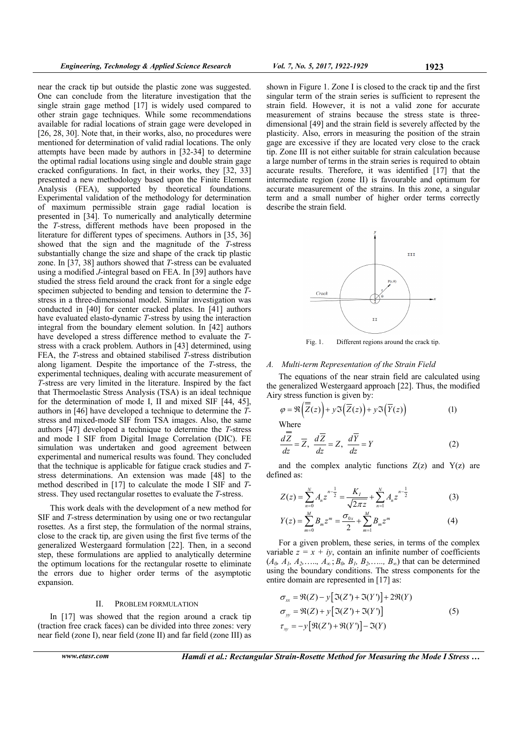near the crack tip but outside the plastic zone was suggested. One can conclude from the literature investigation that the single strain gage method [17] is widely used compared to other strain gage techniques. While some recommendations available for radial locations of strain gage were developed in [26, 28, 30]. Note that, in their works, also, no procedures were mentioned for determination of valid radial locations. The only attempts have been made by authors in [32-34] to determine the optimal radial locations using single and double strain gage cracked configurations. In fact, in their works, they [32, 33] presented a new methodology based upon the Finite Element Analysis (FEA), supported by theoretical foundations. Experimental validation of the methodology for determination of maximum permissible strain gage radial location is presented in [34]. To numerically and analytically determine the *T-*stress, different methods have been proposed in the literature for different types of specimens. Authors in [35, 36] showed that the sign and the magnitude of the *T*-stress substantially change the size and shape of the crack tip plastic zone. In [37, 38] authors showed that *T*-stress can be evaluated using a modified *J*-integral based on FEA. In [39] authors have studied the stress field around the crack front for a single edge specimen subjected to bending and tension to determine the *T*stress in a three-dimensional model. Similar investigation was conducted in [40] for center cracked plates. In [41] authors have evaluated elasto-dynamic *T*-stress by using the interaction integral from the boundary element solution. In [42] authors have developed a stress difference method to evaluate the *T*stress with a crack problem. Authors in [43] determined, using FEA, the *T*-stress and obtained stabilised *T*-stress distribution along ligament. Despite the importance of the *T*-stress, the experimental techniques, dealing with accurate measurement of *T*-stress are very limited in the literature. Inspired by the fact that Thermoelastic Stress Analysis (TSA) is an ideal technique for the determination of mode I, II and mixed SIF [44, 45], authors in [46] have developed a technique to determine the *T*stress and mixed-mode SIF from TSA images. Also, the same authors [47] developed a technique to determine the *T*-stress and mode I SIF from Digital Image Correlation (DIC). FE simulation was undertaken and good agreement between experimental and numerical results was found. They concluded that the technique is applicable for fatigue crack studies and *T*stress determinations. An extension was made [48] to the method described in [17] to calculate the mode I SIF and *T*stress. They used rectangular rosettes to evaluate the *T*-stress.

This work deals with the development of a new method for SIF and *T*-stress determination by using one or two rectangular rosettes. As a first step, the formulation of the normal strains, close to the crack tip, are given using the first five terms of the generalized Westergaard formulation [22]. Then, in a second step, these formulations are applied to analytically determine the optimum locations for the rectangular rosette to eliminate the errors due to higher order terms of the asymptotic expansion.

#### II. PROBLEM FORMULATION

In [17] was showed that the region around a crack tip (traction free crack faces) can be divided into three zones: very near field (zone I), near field (zone II) and far field (zone III) as

shown in Figure 1. Zone I is closed to the crack tip and the first singular term of the strain series is sufficient to represent the strain field. However, it is not a valid zone for accurate measurement of strains because the stress state is threedimensional [49] and the strain field is severely affected by the plasticity. Also, errors in measuring the position of the strain gage are excessive if they are located very close to the crack tip. Zone III is not either suitable for strain calculation because a large number of terms in the strain series is required to obtain accurate results. Therefore, it was identified [17] that the intermediate region (zone II) is favourable and optimum for accurate measurement of the strains. In this zone, a singular term and a small number of higher order terms correctly describe the strain field.



Fig. 1. Different regions around the crack tip.

## *A. Multi-term Representation of the Strain Field*

The equations of the near strain field are calculated using the generalized Westergaard approach [22]. Thus, the modified Airy stress function is given by:

$$
\varphi = \Re\left(\overline{Z}(z)\right) + y \Im\left(\overline{Z}(z)\right) + y \Im\left(\overline{Y}(z)\right) \tag{1}
$$

Where

$$
\frac{d\overline{Z}}{dz} = \overline{Z}, \ \frac{d\overline{Z}}{dz} = Z, \ \frac{d\overline{Y}}{dz} = Y \tag{2}
$$

and the complex analytic functions  $Z(z)$  and  $Y(z)$  are defined as:

$$
Z(z) = \sum_{n=0}^{N} A_n z^{n-\frac{1}{2}} = \frac{K_I}{\sqrt{2\pi z}} + \sum_{n=1}^{N} A_n z^{n-\frac{1}{2}}
$$
(3)  

$$
Y(z) = \sum_{n=0}^{M} B_n z^m = \frac{\sigma_{0x}}{2} + \sum_{n=0}^{M} B_n z^n
$$
(4)

$$
Y(z) = \sum_{m=0}^{m} B_m z^m = \frac{\sigma_{0x}}{2} + \sum_{m=1}^{m} B_m z^m
$$
 (4)

For a given problem, these series, in terms of the complex variable  $z = x + iy$ , contain an infinite number of coefficients  $(A_0, A_1, A_2, \ldots, A_\infty; B_0, B_1, B_2, \ldots, B_\infty)$  that can be determined using the boundary conditions. The stress components for the entire domain are represented in [17] as:

$$
\sigma_{xx} = \Re(Z) - y [\Im(Z') + \Im(Y')] + 2\Re(Y)
$$
  
\n
$$
\sigma_{yy} = \Re(Z) + y [\Im(Z') + \Im(Y')]
$$
(5)  
\n
$$
\tau_{xy} = -y [\Re(Z') + \Re(Y')] - \Im(Y)
$$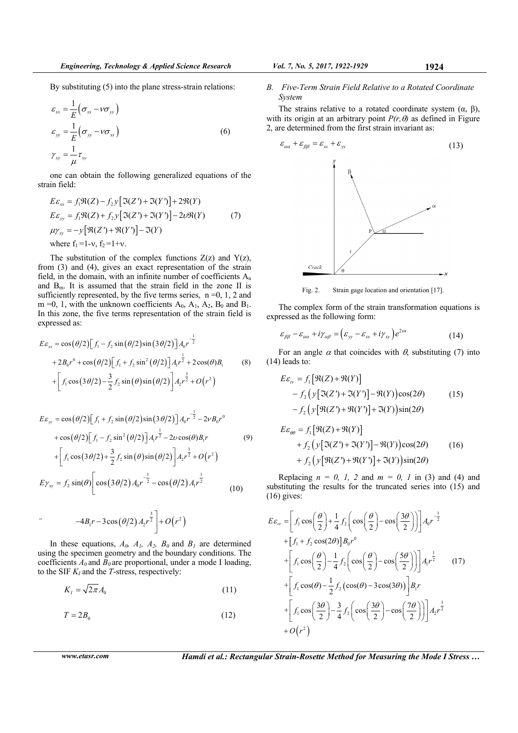By substituting (5) into the plane stress-strain relations:

$$
\varepsilon_{xx} = \frac{1}{E} \left( \sigma_{xx} - \nu \sigma_{yy} \right)
$$
  
\n
$$
\varepsilon_{yy} = \frac{1}{E} \left( \sigma_{yy} - \nu \sigma_{xx} \right)
$$
  
\n
$$
\gamma_{xy} = \frac{1}{\mu} \tau_{xy}
$$
\n(6)

one can obtain the following generalized equations of the strain field:

$$
E\varepsilon_{xx} = f_1 \Re(Z) - f_2 y [\Im(Z') + \Im(Y')] + 2\Re(Y)
$$
  
\n
$$
E\varepsilon_{yy} = f_1 \Re(Z) + f_2 y [\Im(Z') + \Im(Y')] - 2\nu \Re(Y)
$$
  
\n
$$
\mu \gamma_{xy} = -y [\Re(Z') + \Re(Y')] - \Im(Y)
$$
  
\nwhere  $f_1 = 1 - v$ ,  $f_2 = 1 + v$ .

The substitution of the complex functions  $Z(z)$  and  $Y(z)$ , from (3) and (4), gives an exact representation of the strain field, in the domain, with an infinite number of coefficients  $A_n$ and  $B<sub>m</sub>$ . It is assumed that the strain field in the zone II is sufficiently represented, by the five terms series,  $n = 0, 1, 2$  and  $m =0$ , 1, with the unknown coefficients  $A_0$ ,  $A_1$ ,  $A_2$ ,  $B_0$  and  $B_1$ . In this zone, the five terms representation of the strain field is expressed as:

$$
E\varepsilon_{xx} = \cos(\theta/2) \Big[ f_1 - f_2 \sin(\theta/2) \sin(3\theta/2) \Big] A_0 r^{-\frac{1}{2}}
$$
  
+  $2B_0 r^0 + \cos(\theta/2) \Big[ f_1 + f_2 \sin^2(\theta/2) \Big] A_1 r^{\frac{1}{2}} + 2 \cos(\theta) B_1$  (8)  
+  $\Big[ f_1 \cos(3\theta/2) - \frac{3}{2} f_2 \sin(\theta) \sin(\theta/2) \Big] A_2 r^{\frac{3}{2}} + O(r^2)$ 

$$
E\varepsilon_{yy} = \cos(\theta/2) \Big[ f_1 + f_2 \sin(\theta/2) \sin(3\theta/2) \Big] A_0 r^{-\frac{1}{2}} - 2\nu B_0 r^0
$$
  
+  $\cos(\theta/2) \Big[ f_1 - f_2 \sin^2(\theta/2) \Big] A_1 r^{\frac{1}{2}} - 2\nu \cos(\theta) B_1 r$  (9)  
+  $\Big[ f_1 \cos(3\theta/2) + \frac{3}{2} f_2 \sin(\theta) \sin(\theta/2) \Big] A_2 r^{\frac{3}{2}} + O(r^2)$   
 $E\gamma_{xy} = f_2 \sin(\theta) \Big[ \cos(3\theta/2) A_0 r^{-\frac{1}{2}} - \cos(\theta/2) A_1 r^{\frac{1}{2}}$  (10)

$$
-4B_1r - 3\cos(\theta/2) A_2r^{\frac{3}{2}} + O(r^2)
$$

In these equations,  $A_0$ ,  $A_1$ ,  $A_2$ ,  $B_0$  and  $B_1$  are determined using the specimen geometry and the boundary conditions. The coefficients  $A_0$  and  $B_0$  are proportional, under a mode I loading, to the SIF  $K_I$  and the *T*-stress, respectively:

$$
K_I = \sqrt{2\pi} A_0 \tag{11}
$$

$$
T = 2B_0 \tag{12}
$$

*B. Five-Term Strain Field Relative to a Rotated Coordinate System* 

The strains relative to a rotated coordinate system  $(\alpha, \beta)$ , with its origin at an arbitrary point  $P(r, \theta)$  as defined in Figure 2, are determined from the first strain invariant as:



Fig. 2. Strain gage location and orientation [17].

The complex form of the strain transformation equations is expressed as the following form:

$$
\varepsilon_{\beta\beta} - \varepsilon_{\alpha\alpha} + i\gamma_{\alpha\beta} = \left(\varepsilon_{\gamma\gamma} - \varepsilon_{\alpha\gamma} + i\gamma_{\gamma\gamma}\right) e^{2i\alpha} \tag{14}
$$

For an angle  $\alpha$  that coincides with  $\theta$ , substituting (7) into (14) leads to:

$$
E\varepsilon_{rr} = f_1 [\mathfrak{R}(Z) + \mathfrak{R}(Y)]
$$
  
-  $f_2 (y [\mathfrak{I}(Z') + \mathfrak{I}(Y')] - \mathfrak{R}(Y)) \cos(2\theta)$  (15)  
-  $f_2 (y [\mathfrak{R}(Z') + \mathfrak{R}(Y')] + \mathfrak{I}(Y)) \sin(2\theta)$ 

$$
E\varepsilon_{\theta\theta} = f_1 [\mathfrak{R}(Z) + \mathfrak{R}(Y)]
$$
  
+  $f_2 (y [\mathfrak{I}(Z') + \mathfrak{I}(Y')] - \mathfrak{R}(Y)) \cos(2\theta)$  (16)  
+  $f_2 (y [\mathfrak{R}(Z') + \mathfrak{R}(Y')] + \mathfrak{I}(Y)) \sin(2\theta)$ 

Replacing  $n = 0$ , 1, 2 and  $m = 0$ , 1 in (3) and (4) and substituting the results for the truncated series into (15) and (16) gives:

$$
E\varepsilon_{rr} = \left[ f_1 \cos\left(\frac{\theta}{2}\right) + \frac{1}{4} f_2 \left( \cos\left(\frac{\theta}{2}\right) - \cos\left(\frac{3\theta}{2}\right) \right) \right] A_0 r^{-\frac{1}{2}}
$$
  
+ 
$$
\left[ f_1 + f_2 \cos(2\theta) \right] B_0 r^0
$$
  
+ 
$$
\left[ f_1 \cos\left(\frac{\theta}{2}\right) - \frac{1}{4} f_2 \left( \cos\left(\frac{\theta}{2}\right) - \cos\left(\frac{5\theta}{2}\right) \right) \right] A_1 r^{\frac{1}{2}}
$$
  
+ 
$$
\left[ f_1 \cos(\theta) - \frac{1}{2} f_2 \left( \cos(\theta) - 3\cos(3\theta) \right) \right] B_1 r
$$
  
+ 
$$
\left[ f_1 \cos\left(\frac{3\theta}{2}\right) - \frac{3}{4} f_2 \left( \cos\left(\frac{3\theta}{2}\right) - \cos\left(\frac{7\theta}{2}\right) \right) \right] A_2 r^{\frac{3}{2}}
$$
  
+ 
$$
O(r^2)
$$

*www.etasr.com Hamdi et al.: Rectangular Strain-Rosette Method for Measuring the Mode I Stress …*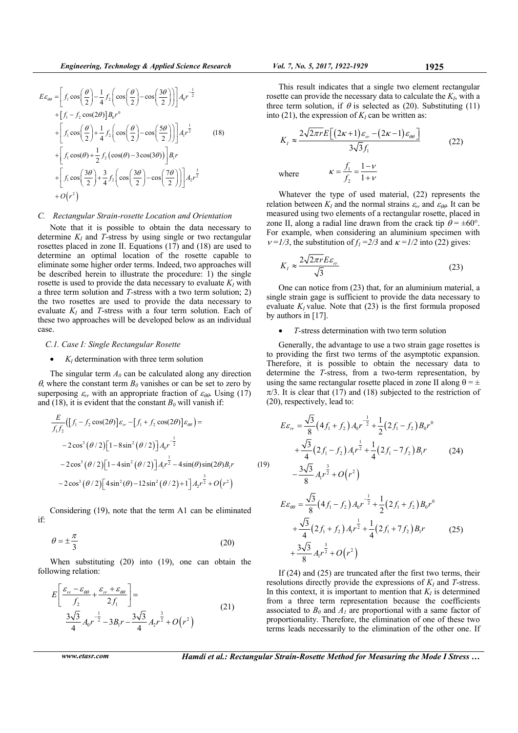$$
E\varepsilon_{\theta\theta} = \left[ f_1 \cos\left(\frac{\theta}{2}\right) - \frac{1}{4} f_2 \left( \cos\left(\frac{\theta}{2}\right) - \cos\left(\frac{3\theta}{2}\right) \right) \right] A_0 r^{-\frac{1}{2}}
$$
  
+ 
$$
\left[ f_1 - f_2 \cos(2\theta) \right] B_0 r^0
$$
  
+ 
$$
\left[ f_1 \cos\left(\frac{\theta}{2}\right) + \frac{1}{4} f_2 \left( \cos\left(\frac{\theta}{2}\right) - \cos\left(\frac{5\theta}{2}\right) \right) \right] A_1 r^{\frac{1}{2}}
$$
(18)  
+ 
$$
\left[ f_1 \cos(\theta) + \frac{1}{2} f_2 \left( \cos(\theta) - 3\cos(3\theta) \right) \right] B_1 r
$$
  
+ 
$$
\left[ f_1 \cos\left(\frac{3\theta}{2}\right) + \frac{3}{4} f_2 \left( \cos\left(\frac{3\theta}{2}\right) - \cos\left(\frac{7\theta}{2}\right) \right) \right] A_2 r^{\frac{3}{2}}
$$
  
+ 
$$
O(r^2)
$$

#### *C. Rectangular Strain-rosette Location and Orientation*

Note that it is possible to obtain the data necessary to determine  $K_I$  and *T*-stress by using single or two rectangular rosettes placed in zone II. Equations (17) and (18) are used to determine an optimal location of the rosette capable to eliminate some higher order terms. Indeed, two approaches will be described herein to illustrate the procedure: 1) the single rosette is used to provide the data necessary to evaluate  $K_I$  with a three term solution and *T-*stress with a two term solution; 2) the two rosettes are used to provide the data necessary to evaluate  $K_I$  and *T*-stress with a four term solution. Each of these two approaches will be developed below as an individual case.

#### *C.1. Case I: Single Rectangular Rosette*

# $\bullet$  *K<sub>I</sub>* determination with three term solution

The singular term  $A_0$  can be calculated along any direction  $\theta$ , where the constant term  $B_0$  vanishes or can be set to zero by superposing  $\varepsilon_{rr}$  with an appropriate fraction of  $\varepsilon_{\theta\theta}$ . Using (17) and (18), it is evident that the constant  $B_0$  will vanish if:

$$
\frac{E}{f_1 f_2} ([f_1 - f_2 \cos(2\theta)] \varepsilon_{rr} - [f_1 + f_2 \cos(2\theta)] \varepsilon_{\theta\theta}) =
$$
\n
$$
-2 \cos^3 (\theta/2) [1 - 8 \sin^2 (\theta/2)] A_0 r^{-\frac{1}{2}}
$$
\n
$$
-2 \cos^3 (\theta/2) [1 - 4 \sin^2 (\theta/2)] A_1 r^{\frac{1}{2}} - 4 \sin(\theta) \sin(2\theta) B_1 r
$$
\n
$$
-2 \cos^3 (\theta/2) [4 \sin^2 (\theta) - 12 \sin^2 (\theta/2) + 1] A_2 r^{\frac{3}{2}} + O(r^2)
$$
\n(19)

Considering (19), note that the term A1 can be eliminated if:

$$
\theta = \pm \frac{\pi}{3} \tag{20}
$$

When substituting (20) into (19), one can obtain the following relation:

$$
E\left[\frac{\varepsilon_{rr} - \varepsilon_{\theta\theta}}{f_2} + \frac{\varepsilon_{rr} + \varepsilon_{\theta\theta}}{2f_1}\right] =
$$
\n
$$
\frac{3\sqrt{3}}{4}A_0r^{-\frac{1}{2}} - 3B_1r - \frac{3\sqrt{3}}{4}A_2r^{\frac{3}{2}} + O(r^2)
$$
\n(21)

$$
Vol. 7, No. 5, 2017, 1922-1929
$$

This result indicates that a single two element rectangular rosette can provide the necessary data to calculate the *KI*, with a three term solution, if  $\theta$  is selected as (20). Substituting (11) into (21), the expression of  $K_I$  can be written as:

$$
K_{I} \approx \frac{2\sqrt{2\pi r}E\left[(2\kappa+1)\varepsilon_{rr} - (2\kappa-1)\varepsilon_{\theta\theta}\right]}{3\sqrt{3}f_{1}}
$$
\nwhere\n
$$
\kappa = \frac{f_{1}}{f_{2}} = \frac{1-\nu}{1+\nu}
$$
\n(22)

Whatever the type of used material, (22) represents the relation between  $K_I$  and the normal strains  $\varepsilon_{rr}$  and  $\varepsilon_{\theta\theta}$ . It can be measured using two elements of a rectangular rosette, placed in zone II, along a radial line drawn from the crack tip  $\theta = \pm 60^{\circ}$ . For example, when considering an aluminium specimen with  $v = 1/3$ , the substitution of  $f_1 = 2/3$  and  $\kappa = 1/2$  into (22) gives:

$$
K_{I} \approx \frac{2\sqrt{2\pi r}E\varepsilon_{rr}}{\sqrt{3}}
$$
 (23)

One can notice from (23) that, for an aluminium material, a single strain gage is sufficient to provide the data necessary to evaluate  $K_I$  value. Note that  $(23)$  is the first formula proposed by authors in [17].

## *T-*stress determination with two term solution

Generally, the advantage to use a two strain gage rosettes is to providing the first two terms of the asymptotic expansion. Therefore, it is possible to obtain the necessary data to determine the *T*-stress, from a two-term representation, by using the same rectangular rosette placed in zone II along  $\theta = \pm$  $\pi/3$ . It is clear that (17) and (18) subjected to the restriction of (20), respectively, lead to:

$$
E\varepsilon_r = \frac{\sqrt{3}}{8} \left( 4f_1 + f_2 \right) A_0 r^{-\frac{1}{2}} + \frac{1}{2} \left( 2f_1 - f_2 \right) B_0 r^0
$$
  
+ 
$$
\frac{\sqrt{3}}{4} \left( 2f_1 - f_2 \right) A_1 r^{\frac{1}{2}} + \frac{1}{4} \left( 2f_1 - 7f_2 \right) B_1 r
$$
 (24)  
- 
$$
\frac{3\sqrt{3}}{8} A_1 r^{\frac{3}{2}} + O(r^2)
$$

 $(r^2)$ 

$$
E\varepsilon_{\theta\theta} = \frac{\sqrt{3}}{8} \left( 4f_1 - f_2 \right) A_0 r^{-\frac{1}{2}} + \frac{1}{2} \left( 2f_1 + f_2 \right) B_0 r^0
$$
  
+ 
$$
\frac{\sqrt{3}}{4} \left( 2f_1 + f_2 \right) A_1 r^{\frac{1}{2}} + \frac{1}{4} \left( 2f_1 + 7f_2 \right) B_1 r
$$

$$
+ \frac{3\sqrt{3}}{8} A_1 r^{\frac{3}{2}} + O\left(r^2\right)
$$
(25)

If (24) and (25) are truncated after the first two terms, their resolutions directly provide the expressions of  $K_I$  and  $T$ -stress. In this context, it is important to mention that  $K_I$  is determined from a three term representation because the coefficients associated to  $B_0$  and  $A_1$  are proportional with a same factor of proportionality. Therefore, the elimination of one of these two terms leads necessarily to the elimination of the other one. If

*www.etasr.com Hamdi et al.: Rectangular Strain-Rosette Method for Measuring the Mode I Stress …*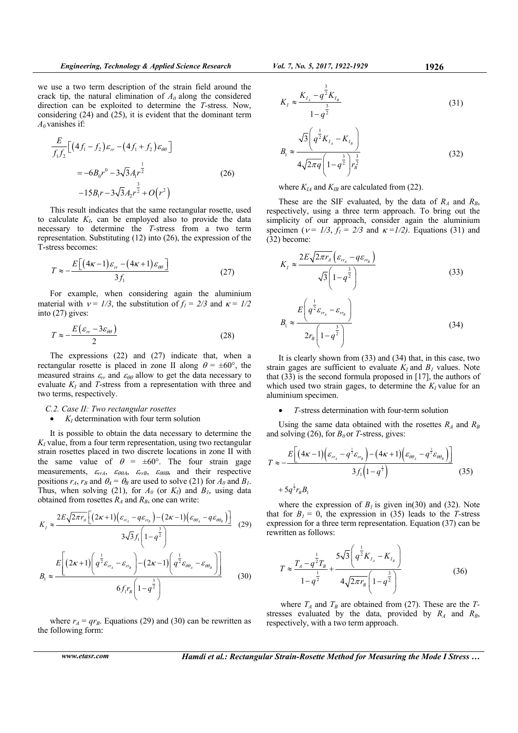*q*

we use a two term description of the strain field around the crack tip, the natural elimination of  $A_0$  along the considered direction can be exploited to determine the *T-*stress. Now, considering (24) and (25), it is evident that the dominant term  $A_0$  vanishes if:

$$
\frac{E}{f_1 f_2} \Big[ \left( 4f_1 - f_2 \right) \varepsilon_{rr} - \left( 4f_1 + f_2 \right) \varepsilon_{\theta\theta} \Big] \n= -6B_0 r^0 - 3\sqrt{3}A_1 r^{\frac{1}{2}} \n-15B_1 r - 3\sqrt{3}A_2 r^{\frac{3}{2}} + O(r^2)
$$
\n(26)

This result indicates that the same rectangular rosette, used to calculate  $K_I$ , can be employed also to provide the data necessary to determine the *T-*stress from a two term representation. Substituting (12) into (26), the expression of the T-stress becomes:

$$
T \approx -\frac{E\left[\left(4\kappa - 1\right)\varepsilon_{rr} - \left(4\kappa + 1\right)\varepsilon_{\theta\theta}\right]}{3f_1} \tag{27}
$$

For example, when considering again the aluminium material with  $v = 1/3$ , the substitution of  $f_1 = 2/3$  and  $\kappa = 1/2$ into (27) gives:

$$
T \approx -\frac{E(\varepsilon_{rr} - 3\varepsilon_{\theta\theta})}{2} \tag{28}
$$

The expressions (22) and (27) indicate that, when a rectangular rosette is placed in zone II along  $\theta = \pm 60^{\circ}$ , the measured strains  $\varepsilon_{rr}$  and  $\varepsilon_{\theta\theta}$  allow to get the data necessary to evaluate  $K_I$  and *T*-stress from a representation with three and two terms, respectively.

# *C.2. Case II: Two rectangular rosettes*

## $K_I$  determination with four term solution

It is possible to obtain the data necessary to determine the  $K_I$  value, from a four term representation, using two rectangular strain rosettes placed in two discrete locations in zone II with the same value of  $\theta = \pm 60^{\circ}$ . The four strain gage measurements,  $\varepsilon_{rrA}$ ,  $\varepsilon_{\theta\theta A}$ ,  $\varepsilon_{rrB}$ ,  $\varepsilon_{\theta\theta B}$ , and their respective positions  $r_A$ ,  $r_B$  and  $\theta_A = \theta_B$  are used to solve (21) for  $A_0$  and  $B_1$ . Thus, when solving (21), for  $A_0$  (or  $K_I$ ) and  $B_I$ , using data obtained from rosettes  $R_A$  and  $R_B$ , one can write:

$$
K_{1} \approx \frac{2E\sqrt{2\pi r_{A}}\left[\left(2\kappa+1\right)\left(\varepsilon_{r_{A}}-q\varepsilon_{r_{B}}\right)-\left(2\kappa-1\right)\left(\varepsilon_{\theta\theta_{A}}-q\varepsilon_{\theta\theta_{B}}\right)\right]}{3\sqrt{3}f_{1}\left(1-q^{\frac{3}{2}}\right)} \tag{29}
$$
\n
$$
B_{1} \approx \frac{E\left[\left(2\kappa+1\right)\left(q^{\frac{1}{2}}\varepsilon_{r_{A}}-\varepsilon_{r_{B}}\right)-\left(2\kappa-1\right)\left(q^{\frac{1}{2}}\varepsilon_{\theta\theta_{A}}-\varepsilon_{\theta\theta_{B}}\right)\right]}{6f_{1}r_{B}\left(1-q^{\frac{3}{2}}\right)} \tag{30}
$$

where  $r_A = qr_B$ . Equations (29) and (30) can be rewritten as the following form:

*www.etasr.com Hamdi et al.: Rectangular Strain-Rosette Method for Measuring the Mode I Stress …* 

$$
B_1 \approx \frac{\sqrt{3}\left(q^{\frac{1}{2}}K_{I_A} - K_{I_B}\right)}{4\sqrt{2\pi q}\left(1 - q^{\frac{3}{2}}\right)r_B^{\frac{3}{2}}}
$$
(32)

where  $K_{IA}$  and  $K_{IB}$  are calculated from (22).

These are the SIF evaluated, by the data of *RA* and *RB*, respectively, using a three term approach. To bring out the simplicity of our approach, consider again the aluminium specimen ( $v = 1/3$ ,  $f_1 = 2/3$  and  $\kappa = 1/2$ ). Equations (31) and (32) become:

$$
K_{I} \approx \frac{2E\sqrt{2\pi r_{A}}\left(\varepsilon_{r_{A}} - q\varepsilon_{r_{B}}\right)}{\sqrt{3}\left(1 - q^{\frac{3}{2}}\right)}
$$
(33)

$$
B_1 \approx \frac{E\left(q^{\frac{1}{2}}\varepsilon_{r_A} - \varepsilon_{r_B}\right)}{2r_B\left(1 - q^{\frac{3}{2}}\right)}
$$
(34)

It is clearly shown from (33) and (34) that, in this case, two strain gages are sufficient to evaluate  $K_I$  and  $B_I$  values. Note that (33) is the second formula proposed in [17], the authors of which used two strain gages, to determine the  $K_I$  value for an aluminium specimen.

## *T-*stress determination with four-term solution

Using the same data obtained with the rosettes  $R_A$  and  $R_B$ and solving (26), for  $B_0$  or *T*-stress, gives:

$$
T \approx -\frac{E\left[\left(4\kappa - 1\right)\left(\varepsilon_{r_{A}} - q^{\frac{1}{2}}\varepsilon_{r_{B}}\right) - \left(4\kappa + 1\right)\left(\varepsilon_{\theta\theta_{A}} - q^{\frac{1}{2}}\varepsilon_{\theta\theta_{B}}\right)\right]}{3f_{1}\left(1 - q^{\frac{1}{2}}\right)} \tag{35}
$$

$$
+ 5q^{\frac{1}{2}}r_{B}B_{1}
$$

where the expression of  $B<sub>l</sub>$  is given in(30) and (32). Note that for  $B_1 = 0$ , the expression in (35) leads to the *T*-stress expression for a three term representation. Equation (37) can be rewritten as follows:

$$
T \approx \frac{T_A - q^{\frac{1}{2}} T_B}{1 - q^{\frac{1}{2}}} + \frac{5\sqrt{3} \left( q^{\frac{1}{2}} K_{I_A} - K_{I_B} \right)}{4\sqrt{2\pi r_B} \left( 1 - q^{\frac{3}{2}} \right)}
$$
(36)

where  $T_A$  and  $T_B$  are obtained from (27). These are the  $T$ stresses evaluated by the data, provided by  $R_A$  and  $R_B$ , respectively, with a two term approach.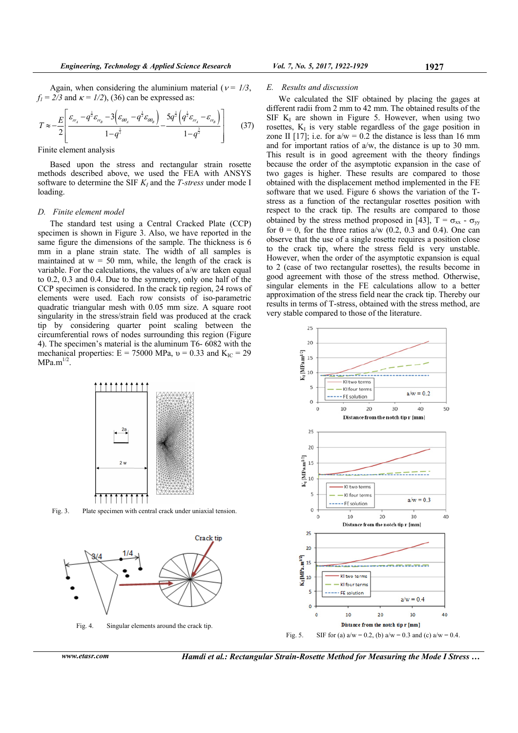Again, when considering the aluminium material ( $v = \frac{1}{3}$ ,  $f_1 = 2/3$  and  $\kappa = 1/2$ , (36) can be expressed as:

$$
T \approx -\frac{E}{2} \left[ \frac{\varepsilon_{r_{\alpha}} - q^{\frac{1}{2}} \varepsilon_{r_{\beta}} - 3 \left( \varepsilon_{\omega_{\alpha}} - q^{\frac{1}{2}} \varepsilon_{\omega_{\beta}} \right)}{1 - q^{\frac{1}{2}}} - \frac{5q^{\frac{1}{2}} \left( q^{\frac{1}{2}} \varepsilon_{r_{\alpha}} - \varepsilon_{r_{\beta}} \right)}{1 - q^{\frac{3}{2}}} \right]
$$
(37)

Finite element analysis

Based upon the stress and rectangular strain rosette methods described above, we used the FEA with ANSYS software to determine the SIF  $K_I$  and the *T-stress* under mode I loading.

#### *D. Finite element model*

The standard test using a Central Cracked Plate (CCP) specimen is shown in Figure 3. Also, we have reported in the same figure the dimensions of the sample. The thickness is 6 mm in a plane strain state. The width of all samples is maintained at  $w = 50$  mm, while, the length of the crack is variable. For the calculations, the values of a/w are taken equal to 0.2, 0.3 and 0.4. Due to the symmetry, only one half of the CCP specimen is considered. In the crack tip region, 24 rows of elements were used. Each row consists of iso-parametric quadratic triangular mesh with 0.05 mm size. A square root singularity in the stress/strain field was produced at the crack tip by considering quarter point scaling between the circumferential rows of nodes surrounding this region (Figure 4). The specimen's material is the aluminum T6- 6082 with the mechanical properties:  $E = 75000 \text{ MPa}$ ,  $v = 0.33$  and  $K_{IC} = 29$  $MPa.m^{1/2}$ .



Fig. 3. Plate specimen with central crack under uniaxial tension.



Fig. 4. Singular elements around the crack tip.

*www.etasr.com Hamdi et al.: Rectangular Strain-Rosette Method for Measuring the Mode I Stress …* 

#### *E. Results and discussion*

We calculated the SIF obtained by placing the gages at different radii from 2 mm to 42 mm. The obtained results of the SIF  $K_I$  are shown in Figure 5. However, when using two rosettes,  $K<sub>I</sub>$  is very stable regardless of the gage position in zone II [17]; i.e. for  $a/w = 0.2$  the distance is less than 16 mm and for important ratios of a/w, the distance is up to 30 mm. This result is in good agreement with the theory findings because the order of the asymptotic expansion in the case of two gages is higher. These results are compared to those obtained with the displacement method implemented in the FE software that we used. Figure 6 shows the variation of the Tstress as a function of the rectangular rosettes position with respect to the crack tip. The results are compared to those obtained by the stress method proposed in [43],  $T = \sigma_{xx} - \sigma_{yy}$ for  $\theta = 0$ , for the three ratios a/w (0.2, 0.3 and 0.4). One can observe that the use of a single rosette requires a position close to the crack tip, where the stress field is very unstable. However, when the order of the asymptotic expansion is equal to 2 (case of two rectangular rosettes), the results become in good agreement with those of the stress method. Otherwise, singular elements in the FE calculations allow to a better approximation of the stress field near the crack tip. Thereby our results in terms of T-stress, obtained with the stress method, are very stable compared to those of the literature.

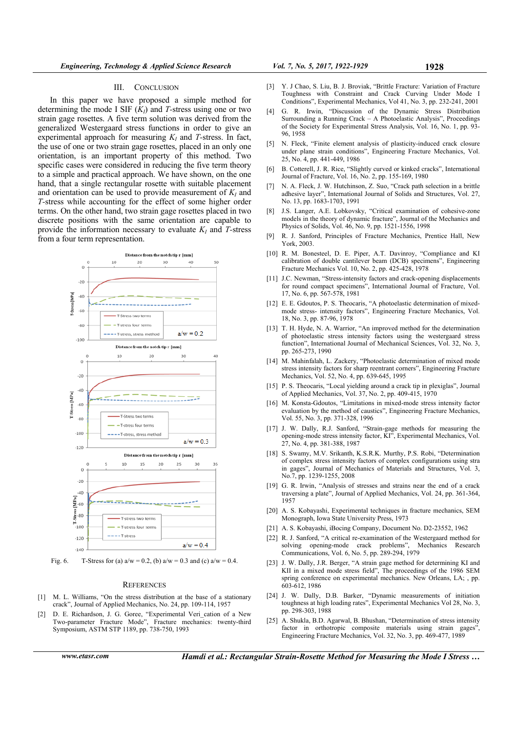#### III. CONCLUSION

In this paper we have proposed a simple method for determining the mode I SIF  $(K_I)$  and *T*-stress using one or two strain gage rosettes. A five term solution was derived from the generalized Westergaard stress functions in order to give an experimental approach for measuring  $K_I$  and *T*-stress. In fact, the use of one or two strain gage rosettes, placed in an only one orientation, is an important property of this method. Two specific cases were considered in reducing the five term theory to a simple and practical approach. We have shown, on the one hand, that a single rectangular rosette with suitable placement and orientation can be used to provide measurement of  $K_I$  and *T-*stress while accounting for the effect of some higher order terms. On the other hand, two strain gage rosettes placed in two discrete positions with the same orientation are capable to provide the information necessary to evaluate  $K_I$  and *T*-stress from a four term representation.



Fig. 6. T-Stress for (a)  $a/w = 0.2$ , (b)  $a/w = 0.3$  and (c)  $a/w = 0.4$ .

## **REFERENCES**

- [1] M. L. Williams, "On the stress distribution at the base of a stationary crack", Journal of Applied Mechanics, No. 24, pp. 109-114, 1957
- [2] D. E. Richardson, J. G. Goree, "Experimental Veri\_cation of a New Two-parameter Fracture Mode", Fracture mechanics: twenty-third Symposium, ASTM STP 1189, pp. 738-750, 1993
- [3] Y. J Chao, S. Liu, B. J. Broviak, "Brittle Fracture: Variation of Fracture Toughness with Constraint and Crack Curving Under Mode I Conditions", Experimental Mechanics, Vol 41, No. 3, pp. 232-241, 2001
- [4] G. R. Irwin, "Discussion of the Dynamic Stress Distribution Surrounding a Running Crack – A Photoelastic Analysis", Proceedings of the Society for Experimental Stress Analysis, Vol. 16, No. 1, pp. 93- 96, 1958
- [5] N. Fleck, "Finite element analysis of plasticity-induced crack closure under plane strain conditions", Engineering Fracture Mechanics, Vol. 25, No. 4, pp. 441-449, 1986
- [6] B. Cotterell, J. R. Rice, "Slightly curved or kinked cracks", International Journal of Fracture, Vol. 16, No. 2, pp. 155-169, 1980
- [7] N. A. Fleck, J. W. Hutchinson, Z. Suo, "Crack path selection in a brittle adhesive layer", International Journal of Solids and Structures, Vol. 27, No. 13, pp. 1683-1703, 1991
- [8] J.S. Langer, A.E. Lobkovsky, "Critical examination of cohesive-zone models in the theory of dynamic fracture", Journal of the Mechanics and Physics of Solids, Vol. 46, No. 9, pp. 1521-1556, 1998
- [9] R. J. Sanford, Principles of Fracture Mechanics, Prentice Hall, New York, 2003.
- [10] R. M. Bonesteel, D. E. Piper, A.T. Davinroy, "Compliance and KI calibration of double cantilever beam (DCB) specimens", Engineering Fracture Mechanics Vol. 10, No. 2, pp. 425-428, 1978
- [11] J.C. Newman, "Stress-intensity factors and crack-opening displacements for round compact specimens", International Journal of Fracture, Vol. 17, No. 6, pp. 567-578, 1981
- [12] E. E. Gdoutos, P. S. Theocaris, "A photoelastic determination of mixedmode stress- intensity factors", Engineering Fracture Mechanics, Vol. 18, No. 3, pp. 87-96, 1978
- [13] T. H. Hyde, N. A. Warrior, "An improved method for the determination of photoelastic stress intensity factors using the westergaard stress function", International Journal of Mechanical Sciences, Vol. 32, No. 3, pp. 265-273, 1990
- [14] M. Mahinfalah, L. Zackery, "Photoelastic determination of mixed mode stress intensity factors for sharp reentrant corners", Engineering Fracture Mechanics, Vol. 52, No. 4, pp. 639-645, 1995
- [15] P. S. Theocaris, "Local yielding around a crack tip in plexiglas", Journal of Applied Mechanics, Vol. 37, No. 2, pp. 409-415, 1970
- [16] M. Konsta-Gdoutos, "Limitations in mixed-mode stress intensity factor evaluation by the method of caustics", Engineering Fracture Mechanics, Vol. 55, No. 3, pp. 371-328, 1996
- [17] J. W. Dally, R.J. Sanford, "Strain-gage methods for measuring the opening-mode stress intensity factor, KI", Experimental Mechanics, Vol. 27, No. 4, pp. 381-388, 1987
- [18] S. Swamy, M.V. Srikanth, K.S.R.K. Murthy, P.S. Robi, "Determination of complex stress intensity factors of complex configurations using stra in gages", Journal of Mechanics of Materials and Structures, Vol. 3, No.7, pp. 1239-1255, 2008
- [19] G. R. Irwin, "Analysis of stresses and strains near the end of a crack traversing a plate", Journal of Applied Mechanics, Vol. 24, pp. 361-364, 1957
- [20] A. S. Kobayashi, Experimental techniques in fracture mechanics, SEM Monograph, Iowa State University Press, 1973
- [21] A. S. Kobayashi, iBocing Company, Document No. D2-23552, 1962
- [22] R. J. Sanford, "A critical re-examination of the Westergaard method for solving opening-mode crack problems", Mechanics Research Communications, Vol. 6, No. 5, pp. 289-294, 1979
- [23] J. W. Dally, J.R. Berger, "A strain gage method for determining KI and KII in a mixed mode stress field", The proceedings of the 1986 SEM spring conference on experimental mechanics. New Orleans, LA; , pp. 603-612, 1986
- [24] J. W. Dally, D.B. Barker, "Dynamic measurements of initiation toughness at high loading rates", Experimental Mechanics Vol 28, No. 3, pp. 298-303, 1988
- [25] A. Shukla, B.D. Agarwal, B. Bhushan, "Determination of stress intensity factor in orthotropic composite materials using strain gages", Engineering Fracture Mechanics, Vol. 32, No. 3, pp. 469-477, 1989